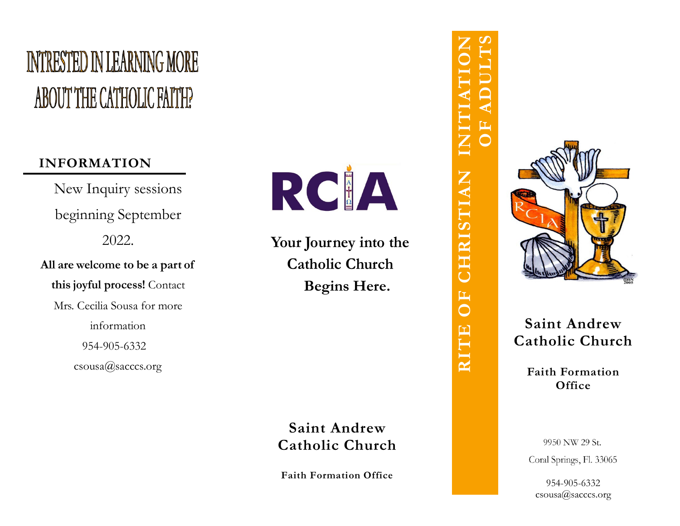# **INTRESTED IN LEARNING MORE** ABOUT THE CATHOLIC FAITH?

# **INFORMATION**

New Inquiry sessions beginning September 2 0 2 2 . **Al l a r e w e lcome to b e a pa r t of**

**th i s joyful pr o ces s!** Cont act Mrs. Cecilia Sousa for more information 954-905-633[2](mailto:csousa@sacccs.org) csousa[@sac](mailto:csousa@sacccs.org)ccs.org



Your Journey into the **Catholic Church B e gins He re.**

Saint Andrew  $C$  atholic Church

Faith Formation Office

**OF ADULTS RITE OF CHRISTIAN INITIATION**  $\overline{\mathsf{Z}}$ CHRISTIAN E<br>O **RITE** 



Saint Andrew  $C$ **atholic**  $C$ **hurch** 

> Faith Formation **O f fic e**

9950 NW 29 St. Coral Springs, Fl. 33065

954 -905 -6332 csou[sa@](mailto:csousa@sacccs.org)sacccs.org